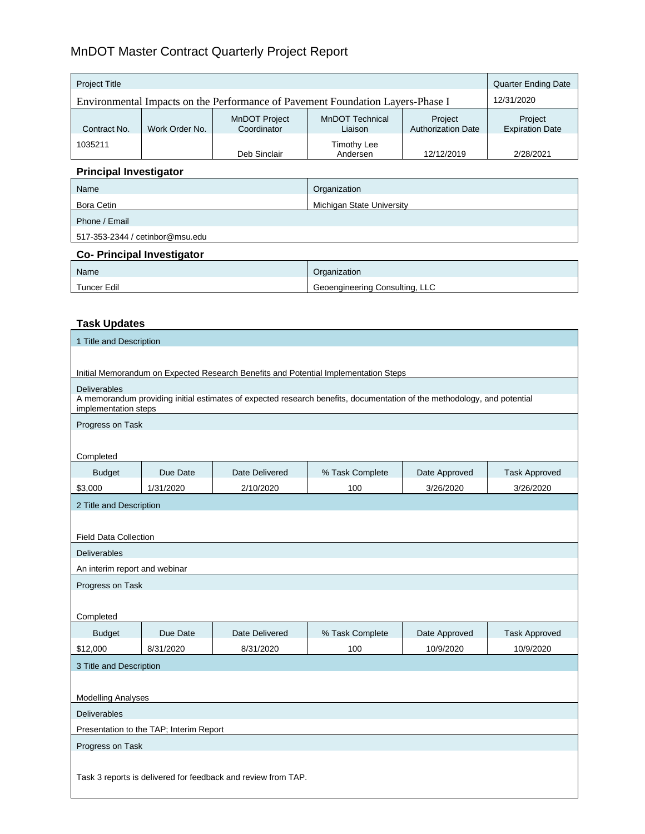# MnDOT Master Contract Quarterly Project Report

| <b>Project Title</b>                                                           |                |                              |                                |                                      | <b>Quarter Ending Date</b>        |
|--------------------------------------------------------------------------------|----------------|------------------------------|--------------------------------|--------------------------------------|-----------------------------------|
| Environmental Impacts on the Performance of Pavement Foundation Layers-Phase I |                |                              | 12/31/2020                     |                                      |                                   |
| Contract No.                                                                   | Work Order No. | MnDOT Project<br>Coordinator | MnDOT Technical<br>Liaison     | Project<br><b>Authorization Date</b> | Project<br><b>Expiration Date</b> |
| 1035211                                                                        |                | Deb Sinclair                 | <b>Timothy Lee</b><br>Andersen | 12/12/2019                           | 2/28/2021                         |

#### **Principal Investigator**

| Name                            | Organization              |
|---------------------------------|---------------------------|
| Bora Cetin                      | Michigan State University |
| Phone / Email                   |                           |
| 517-353-2344 / cetinbor@msu.edu |                           |

## **Co- Principal Investigator**

| Name        | Organization                   |
|-------------|--------------------------------|
| Tuncer Edil | Geoengineering Consulting, LLC |

## **Task Updates**

| 1 Title and Description                                                             |           |                                                                                                                         |                 |               |                      |
|-------------------------------------------------------------------------------------|-----------|-------------------------------------------------------------------------------------------------------------------------|-----------------|---------------|----------------------|
|                                                                                     |           |                                                                                                                         |                 |               |                      |
| Initial Memorandum on Expected Research Benefits and Potential Implementation Steps |           |                                                                                                                         |                 |               |                      |
| Deliverables<br>implementation steps                                                |           | A memorandum providing initial estimates of expected research benefits, documentation of the methodology, and potential |                 |               |                      |
| Progress on Task                                                                    |           |                                                                                                                         |                 |               |                      |
|                                                                                     |           |                                                                                                                         |                 |               |                      |
| Completed                                                                           |           |                                                                                                                         |                 |               |                      |
| <b>Budget</b>                                                                       | Due Date  | Date Delivered                                                                                                          | % Task Complete | Date Approved | <b>Task Approved</b> |
| \$3,000                                                                             | 1/31/2020 | 2/10/2020                                                                                                               | 100             | 3/26/2020     | 3/26/2020            |
| 2 Title and Description                                                             |           |                                                                                                                         |                 |               |                      |
|                                                                                     |           |                                                                                                                         |                 |               |                      |
| <b>Field Data Collection</b>                                                        |           |                                                                                                                         |                 |               |                      |
| <b>Deliverables</b>                                                                 |           |                                                                                                                         |                 |               |                      |
| An interim report and webinar                                                       |           |                                                                                                                         |                 |               |                      |
| Progress on Task                                                                    |           |                                                                                                                         |                 |               |                      |
|                                                                                     |           |                                                                                                                         |                 |               |                      |
| Completed                                                                           |           |                                                                                                                         |                 |               |                      |
| <b>Budget</b>                                                                       | Due Date  | Date Delivered                                                                                                          | % Task Complete | Date Approved | <b>Task Approved</b> |
| \$12,000                                                                            | 8/31/2020 | 8/31/2020                                                                                                               | 100             | 10/9/2020     | 10/9/2020            |
| 3 Title and Description                                                             |           |                                                                                                                         |                 |               |                      |
|                                                                                     |           |                                                                                                                         |                 |               |                      |
| <b>Modelling Analyses</b>                                                           |           |                                                                                                                         |                 |               |                      |
| <b>Deliverables</b>                                                                 |           |                                                                                                                         |                 |               |                      |
| Presentation to the TAP; Interim Report                                             |           |                                                                                                                         |                 |               |                      |
| Progress on Task                                                                    |           |                                                                                                                         |                 |               |                      |
| Task 3 reports is delivered for feedback and review from TAP.                       |           |                                                                                                                         |                 |               |                      |